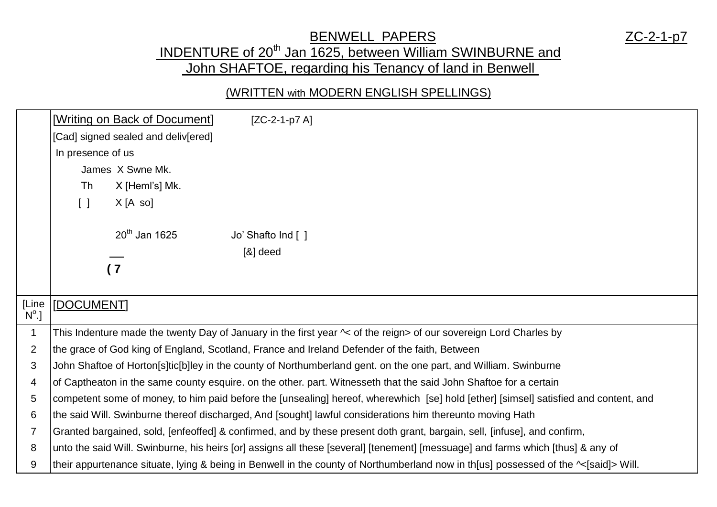### BENWELL PAPERS ZC-2-1-p7

## INDENTURE of 20<sup>th</sup> Jan 1625, between William SWINBURNE and John SHAFTOE, regarding his Tenancy of land in Benwell

#### (WRITTEN with MODERN ENGLISH SPELLINGS)

|                         | Writing on Back of Document]                                                                  | $[ZC-2-1-p7A]$                                                                                                                       |
|-------------------------|-----------------------------------------------------------------------------------------------|--------------------------------------------------------------------------------------------------------------------------------------|
|                         | [Cad] signed sealed and deliv[ered]                                                           |                                                                                                                                      |
|                         | In presence of us                                                                             |                                                                                                                                      |
|                         | James X Swne Mk.                                                                              |                                                                                                                                      |
|                         | X [Heml's] Mk.<br>Th                                                                          |                                                                                                                                      |
|                         | X[A so]<br>$\begin{bmatrix} \end{bmatrix}$                                                    |                                                                                                                                      |
|                         | $20th$ Jan 1625                                                                               | Jo' Shafto Ind [ ]                                                                                                                   |
|                         |                                                                                               | $[8]$ deed                                                                                                                           |
|                         | (7)                                                                                           |                                                                                                                                      |
|                         |                                                                                               |                                                                                                                                      |
| [Line<br>$N^{\circ}$ .] | [DOCUMENT]                                                                                    |                                                                                                                                      |
| $\mathbf 1$             |                                                                                               | This Indenture made the twenty Day of January in the first year $\sim$ of the reign> of our sovereign Lord Charles by                |
| $\overline{2}$          | the grace of God king of England, Scotland, France and Ireland Defender of the faith, Between |                                                                                                                                      |
| 3                       |                                                                                               | John Shaftoe of Horton[s]tic[b]ley in the county of Northumberland gent. on the one part, and William. Swinburne                     |
| 4                       |                                                                                               | of Captheaton in the same county esquire. on the other. part. Witnesseth that the said John Shaftoe for a certain                    |
| 5                       |                                                                                               | competent some of money, to him paid before the [unsealing] hereof, wherewhich [se] hold [ether] [simsel] satisfied and content, and |
| 6                       |                                                                                               | the said Will. Swinburne thereof discharged, And [sought] lawful considerations him thereunto moving Hath                            |
| 7                       |                                                                                               | Granted bargained, sold, [enfeoffed] & confirmed, and by these present doth grant, bargain, sell, [infuse], and confirm,             |
| 8                       |                                                                                               | unto the said Will. Swinburne, his heirs [or] assigns all these [several] [tenement] [messuage] and farms which [thus] & any of      |
| 9                       |                                                                                               | their appurtenance situate, lying & being in Benwell in the county of Northumberland now in th[us] possessed of the ~[said]> Will.   |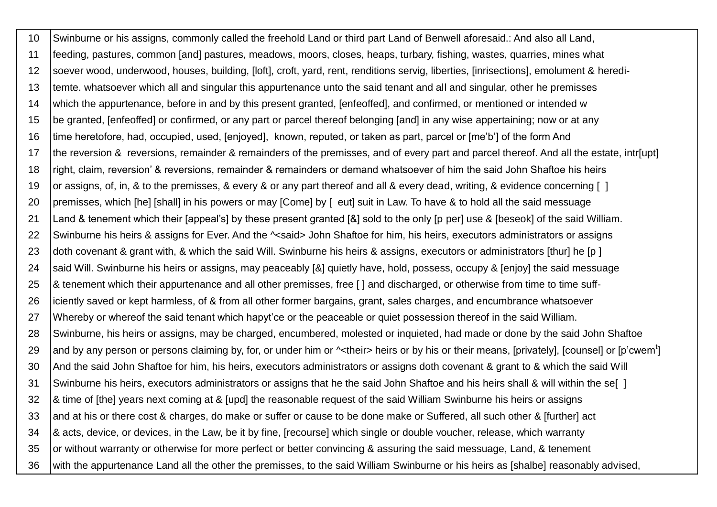10 Swinburne or his assigns, commonly called the freehold Land or third part Land of Benwell aforesaid.: And also all Land, 11 feeding, pastures, common [and] pastures, meadows, moors, closes, heaps, turbary, fishing, wastes, quarries, mines what 12 soever wood, underwood, houses, building, [loft], croft, yard, rent, renditions servig, liberties, [inrisections], emolument & heredi-13 temte. whatsoever which all and singular this appurtenance unto the said tenant and all and singular, other he premisses 14 which the appurtenance, before in and by this present granted, [enfeoffed], and confirmed, or mentioned or intended w 15 be granted, [enfeoffed] or confirmed, or any part or parcel thereof belonging [and] in any wise appertaining; now or at any 16 time heretofore, had, occupied, used, [enjoyed], known, reputed, or taken as part, parcel or [me'b'] of the form And 17 the reversion & reversions, remainder & remainders of the premisses, and of every part and parcel thereof. And all the estate, intr[upt] 18 right, claim, reversion' & reversions, remainder & remainders or demand whatsoever of him the said John Shaftoe his heirs 19 or assigns, of, in, & to the premisses, & every & or any part thereof and all & every dead, writing, & evidence concerning [ ] 20 premisses, which [he] [shall] in his powers or may [Come] by [eut] suit in Law. To have & to hold all the said messuage 21 Land & tenement which their [appeal's] by these present granted [&] sold to the only [p per] use & [beseok] of the said William. 22 Swinburne his heirs & assigns for Ever. And the  $\sim$ said> John Shaftoe for him, his heirs, executors administrators or assigns 23 doth covenant & grant with, & which the said Will. Swinburne his heirs & assigns, executors or administrators [thur] he [p ] 24 Said Will. Swinburne his heirs or assigns, may peaceably [&] quietly have, hold, possess, occupy & [enjoy] the said messuage 25 \| & tenement which their appurtenance and all other premisses, free [ ] and discharged, or otherwise from time to time suff-26 iciently saved or kept harmless, of & from all other former bargains, grant, sales charges, and encumbrance whatsoever 27 Whereby or whereof the said tenant which hapyt'ce or the peaceable or quiet possession thereof in the said William. 28 Swinburne, his heirs or assigns, may be charged, encumbered, molested or inquieted, had made or done by the said John Shaftoe 29 and by any person or persons claiming by, for, or under him or ^<their> heirs or by his or their means, [privately], [counsel] or [p'cwem<sup>t</sup>] 30 And the said John Shaftoe for him, his heirs, executors administrators or assigns doth covenant & grant to & which the said Will 31 Swinburne his heirs, executors administrators or assigns that he the said John Shaftoe and his heirs shall & will within the se[ ] 32 |& time of [the] years next coming at & [upd] the reasonable request of the said William Swinburne his heirs or assigns 33 and at his or there cost & charges, do make or suffer or cause to be done make or Suffered, all such other & [further] act 34 \ & acts, device, or devices, in the Law, be it by fine, [recourse] which single or double voucher, release, which warranty 35 or without warranty or otherwise for more perfect or better convincing & assuring the said messuage, Land, & tenement 36 with the appurtenance Land all the other the premisses, to the said William Swinburne or his heirs as [shalbe] reasonably advised,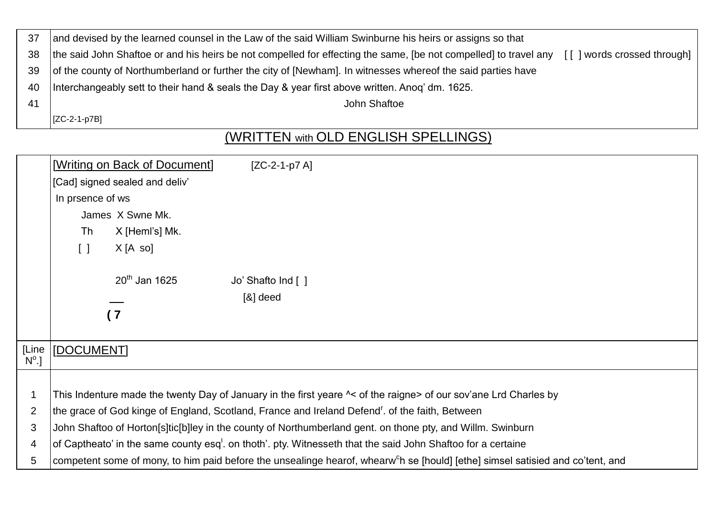| 37 | and devised by the learned counsel in the Law of the said William Swinburne his heirs or assigns so that                                                 |
|----|----------------------------------------------------------------------------------------------------------------------------------------------------------|
| 38 | the said John Shaftoe or and his heirs be not compelled for effecting the same, [be not compelled] to travel any<br>  words crossed through  <br>$\perp$ |
| 39 | of the county of Northumberland or further the city of [Newham]. In witnesses whereof the said parties have                                              |
| 40 | Interchangeably sett to their hand & seals the Day & year first above written. Anog' dm. 1625.                                                           |
| 41 | John Shaftoe                                                                                                                                             |
|    | [ZC-2-1-p7B]                                                                                                                                             |

# (WRITTEN with OLD ENGLISH SPELLINGS)

|              | [Writing on Back of Document]                                                                                                              | $[ZC-2-1-p7A]$    |
|--------------|--------------------------------------------------------------------------------------------------------------------------------------------|-------------------|
|              | [Cad] signed sealed and deliv'                                                                                                             |                   |
|              | In prsence of ws                                                                                                                           |                   |
|              | James X Swne Mk.                                                                                                                           |                   |
|              | Th<br>X [Heml's] Mk.                                                                                                                       |                   |
|              | X[A so]<br>$\Box$                                                                                                                          |                   |
|              | $20th$ Jan 1625                                                                                                                            | Jo' Shafto Ind [] |
|              |                                                                                                                                            | $[8]$ deed        |
|              | (7)                                                                                                                                        |                   |
|              |                                                                                                                                            |                   |
| [Line        | [DOCUMENT]                                                                                                                                 |                   |
| $N^{\circ}.$ |                                                                                                                                            |                   |
|              |                                                                                                                                            |                   |
| 1            | This Indenture made the twenty Day of January in the first yeare $\sim$ of the raigne> of our sov'ane Lrd Charles by                       |                   |
| 2            | the grace of God kinge of England, Scotland, France and Ireland Defend <sup>r</sup> . of the faith, Between                                |                   |
| 3            | John Shaftoo of Horton[s]tic[b]ley in the county of Northumberland gent. on thone pty, and Willm. Swinburn                                 |                   |
| 4            | of Captheato' in the same county esq <sup>1</sup> . on thoth'. pty. Witnesseth that the said John Shaftoo for a certaine                   |                   |
| 5            | competent some of mony, to him paid before the unsealinge hearof, whearw <sup>c</sup> h se [hould] [ethe] simsel satisied and co'tent, and |                   |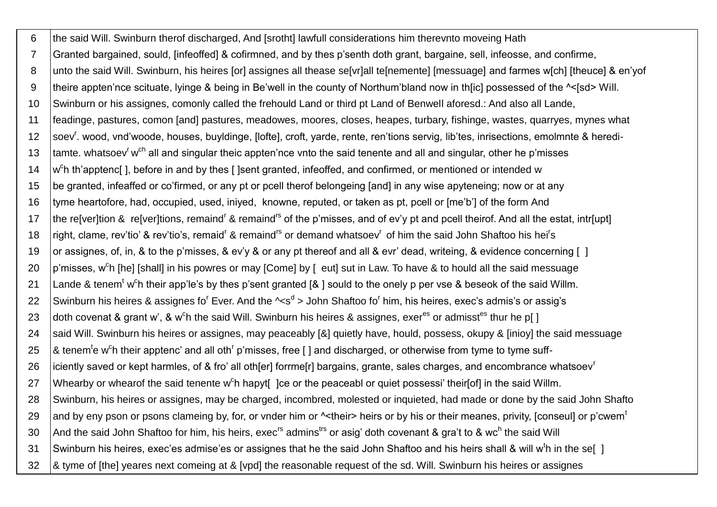6 the said Will. Swinburn therof discharged, And [srotht] lawfull considerations him therevnto moveing Hath  $\overline{7}$ Granted bargained, sould, [infeoffed] & cofirmned, and by thes p'senth doth grant, bargaine, sell, infeosse, and confirme, unto the said Will. Swinburn, his heires [or] assignes all thease se[vr]all te[nemente] [messuage] and farmes w[ch] [theuce] & en'yof 8 theire appten'nce scituate, lyinge & being in Be'well in the county of Northum'bland now in th[ic] possessed of the ^<[sd> Will.  $\mathbf{q}$ Swinburn or his assignes, comonly called the frehould Land or third pt Land of Benwell aforesd.: And also all Lande,  $10$ feadinge, pastures, comon [and] pastures, meadowes, moores, closes, heapes, turbary, fishinge, wastes, quarryes, mynes what  $11$ soev<sup>r</sup>. wood, vnd'woode, houses, buyldinge, [lofte], croft, yarde, rente, ren'tions servig, lib'tes, inrisections, emolmnte & heredi- $12$ tamte, whatsoev<sup>r</sup> w<sup>ch</sup> all and singular theic appten'nce vnto the said tenente and all and singular, other he p'misses  $13$  $14$  $\vert$ w<sup>c</sup>h th'apptenc[], before in and by thes []sent granted, infeoffed, and confirmed, or mentioned or intended w be granted, infeaffed or co'firmed, or any pt or pcell therof belongeing [and] in any wise apyteneing; now or at any 15 tyme heartofore, had, occupied, used, iniyed, knowne, reputed, or taken as pt, pcell or [me'b'] of the form And 16 the re[ver]tion & re[ver]tions, remaind<sup>r</sup> & remaind<sup>rs</sup> of the p'misses, and of ev'y pt and pcell theirof. And all the estat, intr[upt]  $17$ right, clame, rev'tio' & rev'tio's, remaid<sup>r</sup> & remaind<sup>rs</sup> or demand whatsoev<sup>r</sup> of him the said John Shaftoo his hei<sup>r</sup>s 18 or assignes, of, in, & to the p'misses, & ev'y & or any pt thereof and all & evr' dead, writeing, & evidence concerning [] 19  $|p'$ misses, w<sup>c</sup>h [he] [shall] in his powres or may [Come] by [eut] sut in Law. To have & to hould all the said messuage 20 Lande & tenem<sup>t</sup> w<sup>c</sup>h their app'le's by thes p'sent granted [& ] sould to the onely p per vse & beseok of the said Willm.  $21$ Swinburn his heires & assignes fo<sup>r</sup> Ever. And the  $\sim s^d$  > John Shaftoo fo<sup>r</sup> him, his heires, exec's admis's or assig's 22 doth covenat & grant w'. & w<sup>c</sup>h the said Will. Swinburn his heires & assignes, exer<sup>es</sup> or admisst<sup>es</sup> thur he p[] 23 said Will. Swinburn his heires or assignes, may peaceably [&] quietly have, hould, possess, okupy & [inioy] the said messuage 24 25  $\alpha$  tenem<sup>t</sup>e w<sup>c</sup>h their apptenc' and all oth<sup>r</sup> p'misses, free [] and discharged, or otherwise from tyme to tyme suff-26 iciently saved or kept harmles, of & fro' all oth[er] forrme[r] bargains, grante, sales charges, and encombrance whatsoev<sup>r</sup> Whearby or whearof the said tenente w<sup>o</sup>h hapyt<sup>[</sup>] ce or the peaceabl or quiet possessi' their[of] in the said Willm. 27 Swinburn, his heires or assignes, may be charged, incombred, molested or inquieted, had made or done by the said John Shafto 28 and by eny pson or psons clameing by, for, or vnder him or  $\sim$  their> heirs or by his or their meanes, privity, [conseul] or p'cwem<sup>t</sup> 29 And the said John Shaftoo for him, his heirs, exec<sup>rs</sup> admins<sup>trs</sup> or asig' doth covenant & gra't to & wc<sup>h</sup> the said Will 30 Swinburn his heires, exec'es admise'es or assignes that he the said John Shaftoo and his heirs shall & will w<sup>t</sup>h in the sel 1  $31$ & tyme of [the] yeares next comeing at & [vpd] the reasonable request of the sd. Will. Swinburn his heires or assignes 32